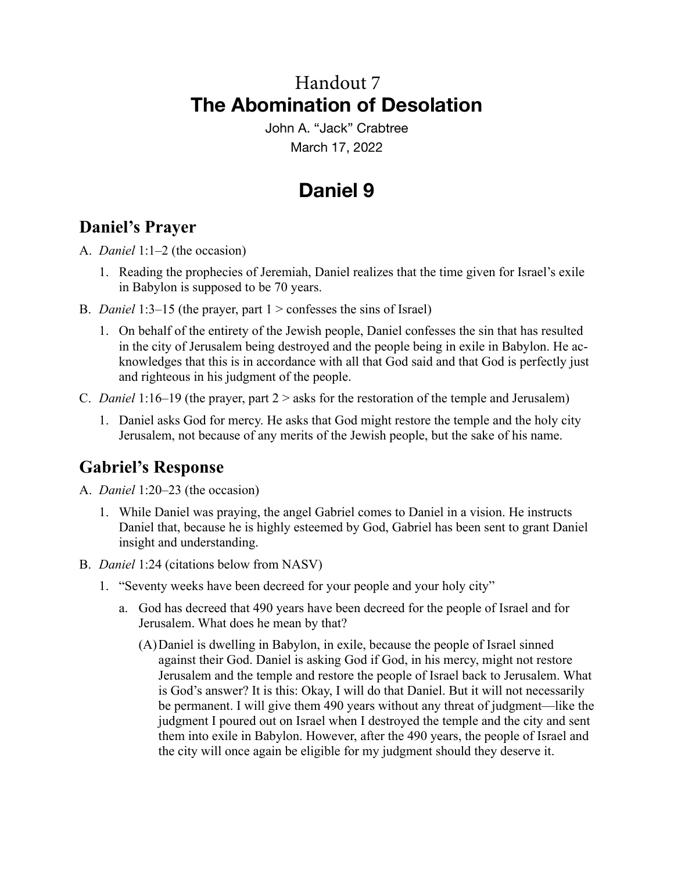## **The Abomination of Desolation** Handout 7

John A. "Jack" Crabtree March 17, 2022

## **Daniel 9**

### **Daniel's Prayer**

A. *Daniel* 1:1–2 (the occasion)

- 1. Reading the prophecies of Jeremiah, Daniel realizes that the time given for Israel's exile in Babylon is supposed to be 70 years.
- B. *Daniel* 1:3–15 (the prayer, part 1 > confesses the sins of Israel)
	- 1. On behalf of the entirety of the Jewish people, Daniel confesses the sin that has resulted in the city of Jerusalem being destroyed and the people being in exile in Babylon. He acknowledges that this is in accordance with all that God said and that God is perfectly just and righteous in his judgment of the people.
- C. *Daniel* 1:16–19 (the prayer, part 2 > asks for the restoration of the temple and Jerusalem)
	- 1. Daniel asks God for mercy. He asks that God might restore the temple and the holy city Jerusalem, not because of any merits of the Jewish people, but the sake of his name.

### **Gabriel's Response**

- A. *Daniel* 1:20–23 (the occasion)
	- 1. While Daniel was praying, the angel Gabriel comes to Daniel in a vision. He instructs Daniel that, because he is highly esteemed by God, Gabriel has been sent to grant Daniel insight and understanding.
- B. *Daniel* 1:24 (citations below from NASV)
	- 1. "Seventy weeks have been decreed for your people and your holy city"
		- a. God has decreed that 490 years have been decreed for the people of Israel and for Jerusalem. What does he mean by that?
			- (A)Daniel is dwelling in Babylon, in exile, because the people of Israel sinned against their God. Daniel is asking God if God, in his mercy, might not restore Jerusalem and the temple and restore the people of Israel back to Jerusalem. What is God's answer? It is this: Okay, I will do that Daniel. But it will not necessarily be permanent. I will give them 490 years without any threat of judgment—like the judgment I poured out on Israel when I destroyed the temple and the city and sent them into exile in Babylon. However, after the 490 years, the people of Israel and the city will once again be eligible for my judgment should they deserve it.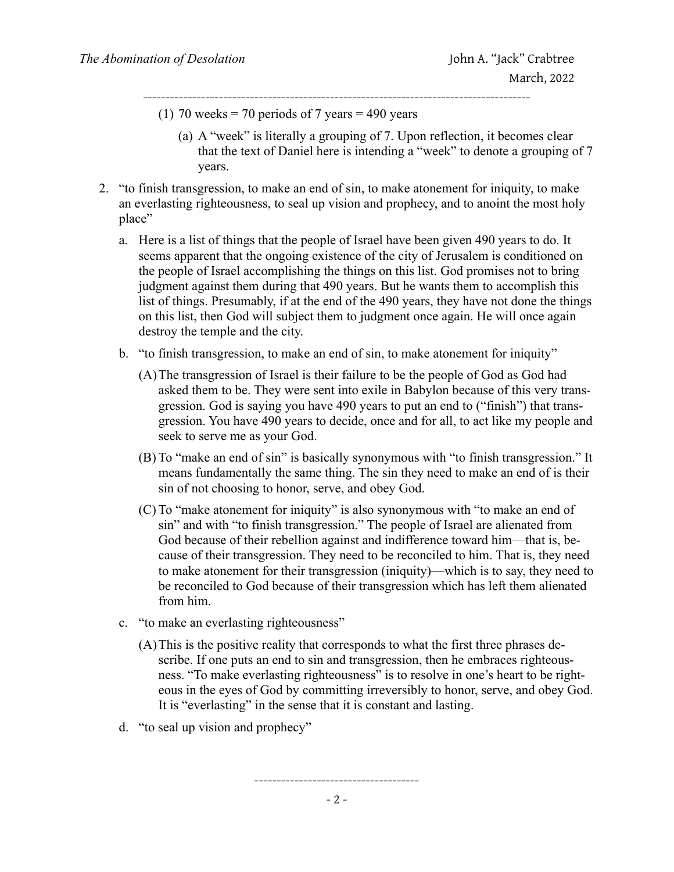(1) 70 weeks = 70 periods of 7 years = 490 years ---------------------------------------------------------------------------------------

- (a) A "week" is literally a grouping of 7. Upon reflection, it becomes clear that the text of Daniel here is intending a "week" to denote a grouping of 7 years.
- 2. "to finish transgression, to make an end of sin, to make atonement for iniquity, to make an everlasting righteousness, to seal up vision and prophecy, and to anoint the most holy place"
	- a. Here is a list of things that the people of Israel have been given 490 years to do. It seems apparent that the ongoing existence of the city of Jerusalem is conditioned on the people of Israel accomplishing the things on this list. God promises not to bring judgment against them during that 490 years. But he wants them to accomplish this list of things. Presumably, if at the end of the 490 years, they have not done the things on this list, then God will subject them to judgment once again. He will once again destroy the temple and the city.
	- b. "to finish transgression, to make an end of sin, to make atonement for iniquity"
		- (A)The transgression of Israel is their failure to be the people of God as God had asked them to be. They were sent into exile in Babylon because of this very transgression. God is saying you have 490 years to put an end to ("finish") that transgression. You have 490 years to decide, once and for all, to act like my people and seek to serve me as your God.
		- (B) To "make an end of sin" is basically synonymous with "to finish transgression." It means fundamentally the same thing. The sin they need to make an end of is their sin of not choosing to honor, serve, and obey God.
		- (C) To "make atonement for iniquity" is also synonymous with "to make an end of sin" and with "to finish transgression." The people of Israel are alienated from God because of their rebellion against and indifference toward him—that is, because of their transgression. They need to be reconciled to him. That is, they need to make atonement for their transgression (iniquity)—which is to say, they need to be reconciled to God because of their transgression which has left them alienated from him.
	- c. "to make an everlasting righteousness"
		- (A)This is the positive reality that corresponds to what the first three phrases describe. If one puts an end to sin and transgression, then he embraces righteousness. "To make everlasting righteousness" is to resolve in one's heart to be righteous in the eyes of God by committing irreversibly to honor, serve, and obey God. It is "everlasting" in the sense that it is constant and lasting.
	- d. "to seal up vision and prophecy"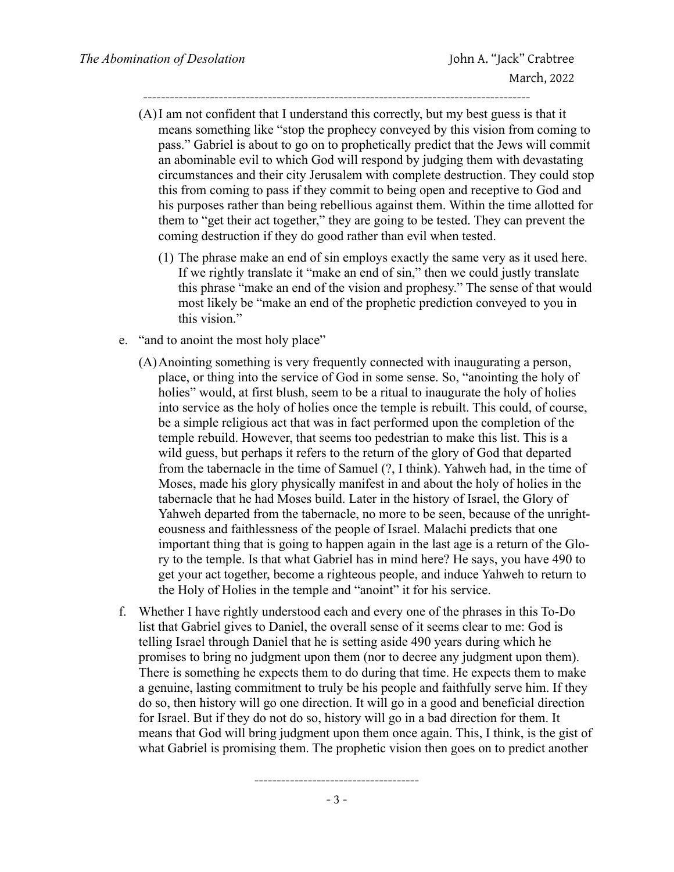(A)I am not confident that I understand this correctly, but my best guess is that it means something like "stop the prophecy conveyed by this vision from coming to pass." Gabriel is about to go on to prophetically predict that the Jews will commit an abominable evil to which God will respond by judging them with devastating circumstances and their city Jerusalem with complete destruction. They could stop this from coming to pass if they commit to being open and receptive to God and his purposes rather than being rebellious against them. Within the time allotted for them to "get their act together," they are going to be tested. They can prevent the coming destruction if they do good rather than evil when tested.

---------------------------------------------------------------------------------------

- (1) The phrase make an end of sin employs exactly the same very as it used here. If we rightly translate it "make an end of sin," then we could justly translate this phrase "make an end of the vision and prophesy." The sense of that would most likely be "make an end of the prophetic prediction conveyed to you in this vision."
- e. "and to anoint the most holy place"
	- (A)Anointing something is very frequently connected with inaugurating a person, place, or thing into the service of God in some sense. So, "anointing the holy of holies" would, at first blush, seem to be a ritual to inaugurate the holy of holies into service as the holy of holies once the temple is rebuilt. This could, of course, be a simple religious act that was in fact performed upon the completion of the temple rebuild. However, that seems too pedestrian to make this list. This is a wild guess, but perhaps it refers to the return of the glory of God that departed from the tabernacle in the time of Samuel (?, I think). Yahweh had, in the time of Moses, made his glory physically manifest in and about the holy of holies in the tabernacle that he had Moses build. Later in the history of Israel, the Glory of Yahweh departed from the tabernacle, no more to be seen, because of the unrighteousness and faithlessness of the people of Israel. Malachi predicts that one important thing that is going to happen again in the last age is a return of the Glory to the temple. Is that what Gabriel has in mind here? He says, you have 490 to get your act together, become a righteous people, and induce Yahweh to return to the Holy of Holies in the temple and "anoint" it for his service.
- f. Whether I have rightly understood each and every one of the phrases in this To-Do list that Gabriel gives to Daniel, the overall sense of it seems clear to me: God is telling Israel through Daniel that he is setting aside 490 years during which he promises to bring no judgment upon them (nor to decree any judgment upon them). There is something he expects them to do during that time. He expects them to make a genuine, lasting commitment to truly be his people and faithfully serve him. If they do so, then history will go one direction. It will go in a good and beneficial direction for Israel. But if they do not do so, history will go in a bad direction for them. It means that God will bring judgment upon them once again. This, I think, is the gist of what Gabriel is promising them. The prophetic vision then goes on to predict another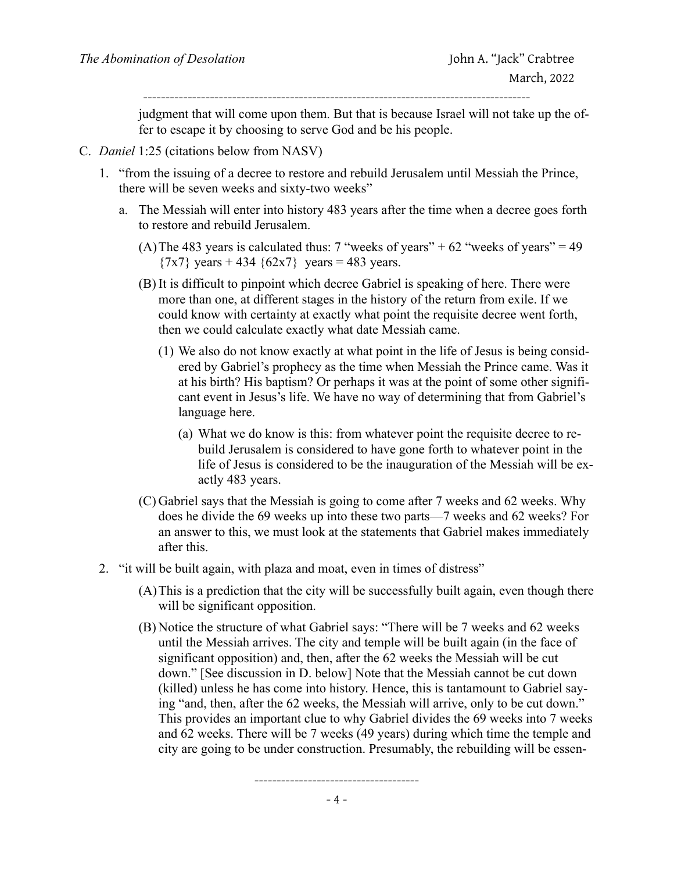judgment that will come upon them. But that is because Israel will not take up the offer to escape it by choosing to serve God and be his people.

- C. *Daniel* 1:25 (citations below from NASV)
	- 1. "from the issuing of a decree to restore and rebuild Jerusalem until Messiah the Prince, there will be seven weeks and sixty-two weeks"
		- a. The Messiah will enter into history 483 years after the time when a decree goes forth to restore and rebuild Jerusalem.
			- (A) The 483 years is calculated thus: 7 "weeks of years" +  $62$  "weeks of years" = 49  ${7x7}$  years + 434  ${62x7}$  years = 483 years.
			- (B) It is difficult to pinpoint which decree Gabriel is speaking of here. There were more than one, at different stages in the history of the return from exile. If we could know with certainty at exactly what point the requisite decree went forth, then we could calculate exactly what date Messiah came.
				- (1) We also do not know exactly at what point in the life of Jesus is being considered by Gabriel's prophecy as the time when Messiah the Prince came. Was it at his birth? His baptism? Or perhaps it was at the point of some other significant event in Jesus's life. We have no way of determining that from Gabriel's language here.
					- (a) What we do know is this: from whatever point the requisite decree to rebuild Jerusalem is considered to have gone forth to whatever point in the life of Jesus is considered to be the inauguration of the Messiah will be exactly 483 years.
			- (C) Gabriel says that the Messiah is going to come after 7 weeks and 62 weeks. Why does he divide the 69 weeks up into these two parts—7 weeks and 62 weeks? For an answer to this, we must look at the statements that Gabriel makes immediately after this.
	- 2. "it will be built again, with plaza and moat, even in times of distress"
		- (A)This is a prediction that the city will be successfully built again, even though there will be significant opposition.
		- (B) Notice the structure of what Gabriel says: "There will be 7 weeks and 62 weeks until the Messiah arrives. The city and temple will be built again (in the face of significant opposition) and, then, after the 62 weeks the Messiah will be cut down." [See discussion in D. below] Note that the Messiah cannot be cut down (killed) unless he has come into history. Hence, this is tantamount to Gabriel saying "and, then, after the 62 weeks, the Messiah will arrive, only to be cut down." This provides an important clue to why Gabriel divides the 69 weeks into 7 weeks and 62 weeks. There will be 7 weeks (49 years) during which time the temple and city are going to be under construction. Presumably, the rebuilding will be essen-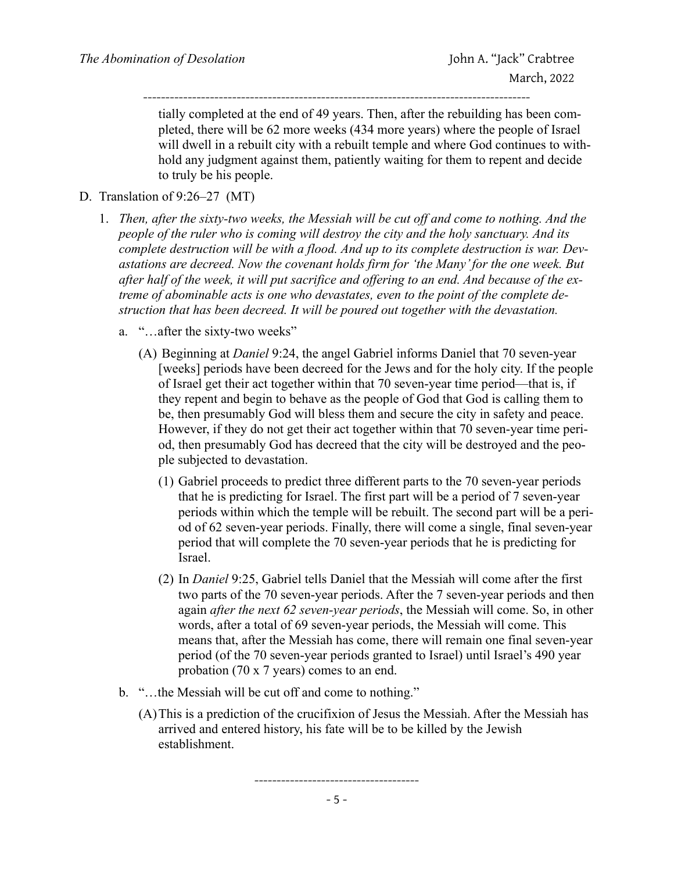tially completed at the end of 49 years. Then, after the rebuilding has been completed, there will be 62 more weeks (434 more years) where the people of Israel will dwell in a rebuilt city with a rebuilt temple and where God continues to withhold any judgment against them, patiently waiting for them to repent and decide to truly be his people. ---------------------------------------------------------------------------------------

- D. Translation of 9:26–27 (MT)
	- 1. *Then, after the sixty-two weeks, the Messiah will be cut off and come to nothing. And the people of the ruler who is coming will destroy the city and the holy sanctuary. And its complete destruction will be with a flood. And up to its complete destruction is war. Devastations are decreed. Now the covenant holds firm for 'the Many' for the one week. But after half of the week, it will put sacrifice and offering to an end. And because of the extreme of abominable acts is one who devastates, even to the point of the complete destruction that has been decreed. It will be poured out together with the devastation.*
		- a. "…after the sixty-two weeks"
			- (A) Beginning at *Daniel* 9:24, the angel Gabriel informs Daniel that 70 seven-year [weeks] periods have been decreed for the Jews and for the holy city. If the people of Israel get their act together within that 70 seven-year time period—that is, if they repent and begin to behave as the people of God that God is calling them to be, then presumably God will bless them and secure the city in safety and peace. However, if they do not get their act together within that 70 seven-year time period, then presumably God has decreed that the city will be destroyed and the people subjected to devastation.
				- (1) Gabriel proceeds to predict three different parts to the 70 seven-year periods that he is predicting for Israel. The first part will be a period of 7 seven-year periods within which the temple will be rebuilt. The second part will be a period of 62 seven-year periods. Finally, there will come a single, final seven-year period that will complete the 70 seven-year periods that he is predicting for Israel.
				- (2) In *Daniel* 9:25, Gabriel tells Daniel that the Messiah will come after the first two parts of the 70 seven-year periods. After the 7 seven-year periods and then again *after the next 62 seven-year periods*, the Messiah will come. So, in other words, after a total of 69 seven-year periods, the Messiah will come. This means that, after the Messiah has come, there will remain one final seven-year period (of the 70 seven-year periods granted to Israel) until Israel's 490 year probation (70 x 7 years) comes to an end.
		- b. "…the Messiah will be cut off and come to nothing."
			- (A)This is a prediction of the crucifixion of Jesus the Messiah. After the Messiah has arrived and entered history, his fate will be to be killed by the Jewish establishment.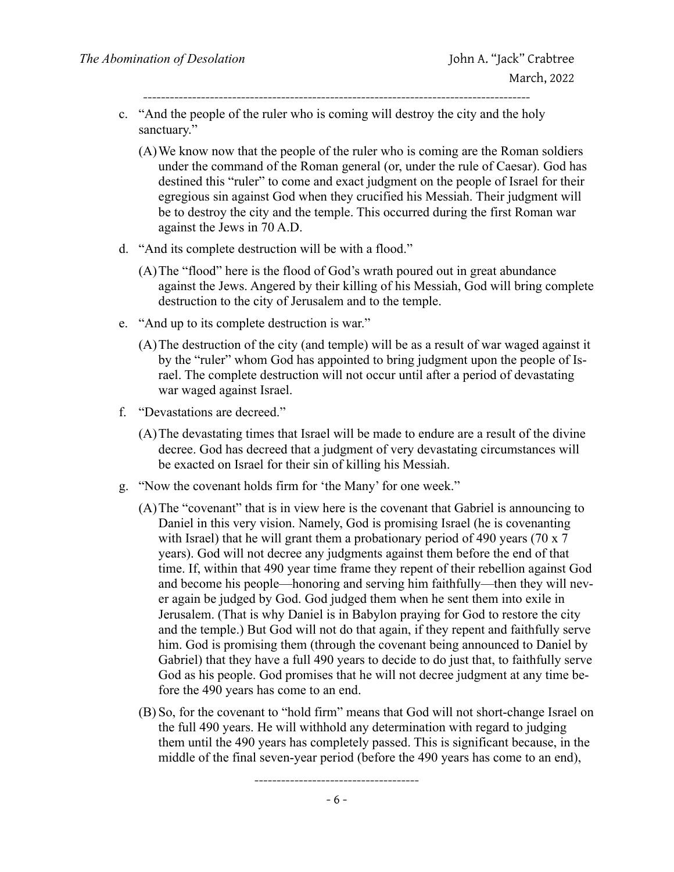- c. "And the people of the ruler who is coming will destroy the city and the holy sanctuary."
	- (A)We know now that the people of the ruler who is coming are the Roman soldiers under the command of the Roman general (or, under the rule of Caesar). God has destined this "ruler" to come and exact judgment on the people of Israel for their egregious sin against God when they crucified his Messiah. Their judgment will be to destroy the city and the temple. This occurred during the first Roman war against the Jews in 70 A.D.
- d. "And its complete destruction will be with a flood."
	- (A)The "flood" here is the flood of God's wrath poured out in great abundance against the Jews. Angered by their killing of his Messiah, God will bring complete destruction to the city of Jerusalem and to the temple.
- e. "And up to its complete destruction is war."
	- (A)The destruction of the city (and temple) will be as a result of war waged against it by the "ruler" whom God has appointed to bring judgment upon the people of Israel. The complete destruction will not occur until after a period of devastating war waged against Israel.
- f. "Devastations are decreed."
	- (A)The devastating times that Israel will be made to endure are a result of the divine decree. God has decreed that a judgment of very devastating circumstances will be exacted on Israel for their sin of killing his Messiah.
- g. "Now the covenant holds firm for 'the Many' for one week."
	- (A)The "covenant" that is in view here is the covenant that Gabriel is announcing to Daniel in this very vision. Namely, God is promising Israel (he is covenanting with Israel) that he will grant them a probationary period of 490 years (70 x 7) years). God will not decree any judgments against them before the end of that time. If, within that 490 year time frame they repent of their rebellion against God and become his people—honoring and serving him faithfully—then they will never again be judged by God. God judged them when he sent them into exile in Jerusalem. (That is why Daniel is in Babylon praying for God to restore the city and the temple.) But God will not do that again, if they repent and faithfully serve him. God is promising them (through the covenant being announced to Daniel by Gabriel) that they have a full 490 years to decide to do just that, to faithfully serve God as his people. God promises that he will not decree judgment at any time before the 490 years has come to an end.
	- (B) So, for the covenant to "hold firm" means that God will not short-change Israel on the full 490 years. He will withhold any determination with regard to judging them until the 490 years has completely passed. This is significant because, in the middle of the final seven-year period (before the 490 years has come to an end),

-------------------------------------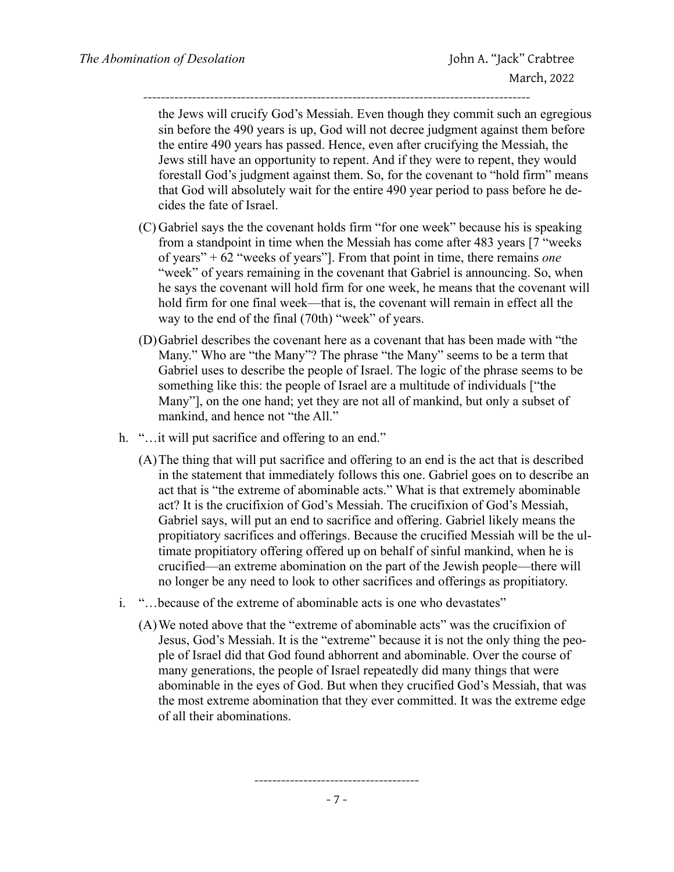the Jews will crucify God's Messiah. Even though they commit such an egregious sin before the 490 years is up, God will not decree judgment against them before the entire 490 years has passed. Hence, even after crucifying the Messiah, the Jews still have an opportunity to repent. And if they were to repent, they would forestall God's judgment against them. So, for the covenant to "hold firm" means that God will absolutely wait for the entire 490 year period to pass before he decides the fate of Israel.

- (C) Gabriel says the the covenant holds firm "for one week" because his is speaking from a standpoint in time when the Messiah has come after 483 years [7 "weeks of years" + 62 "weeks of years"]. From that point in time, there remains *one* "week" of years remaining in the covenant that Gabriel is announcing. So, when he says the covenant will hold firm for one week, he means that the covenant will hold firm for one final week—that is, the covenant will remain in effect all the way to the end of the final (70th) "week" of years.
- (D)Gabriel describes the covenant here as a covenant that has been made with "the Many." Who are "the Many"? The phrase "the Many" seems to be a term that Gabriel uses to describe the people of Israel. The logic of the phrase seems to be something like this: the people of Israel are a multitude of individuals ["the Many"], on the one hand; yet they are not all of mankind, but only a subset of mankind, and hence not "the All."
- h. "...it will put sacrifice and offering to an end."
	- (A)The thing that will put sacrifice and offering to an end is the act that is described in the statement that immediately follows this one. Gabriel goes on to describe an act that is "the extreme of abominable acts." What is that extremely abominable act? It is the crucifixion of God's Messiah. The crucifixion of God's Messiah, Gabriel says, will put an end to sacrifice and offering. Gabriel likely means the propitiatory sacrifices and offerings. Because the crucified Messiah will be the ultimate propitiatory offering offered up on behalf of sinful mankind, when he is crucified—an extreme abomination on the part of the Jewish people—there will no longer be any need to look to other sacrifices and offerings as propitiatory.
- i. "…because of the extreme of abominable acts is one who devastates"
	- (A)We noted above that the "extreme of abominable acts" was the crucifixion of Jesus, God's Messiah. It is the "extreme" because it is not the only thing the people of Israel did that God found abhorrent and abominable. Over the course of many generations, the people of Israel repeatedly did many things that were abominable in the eyes of God. But when they crucified God's Messiah, that was the most extreme abomination that they ever committed. It was the extreme edge of all their abominations.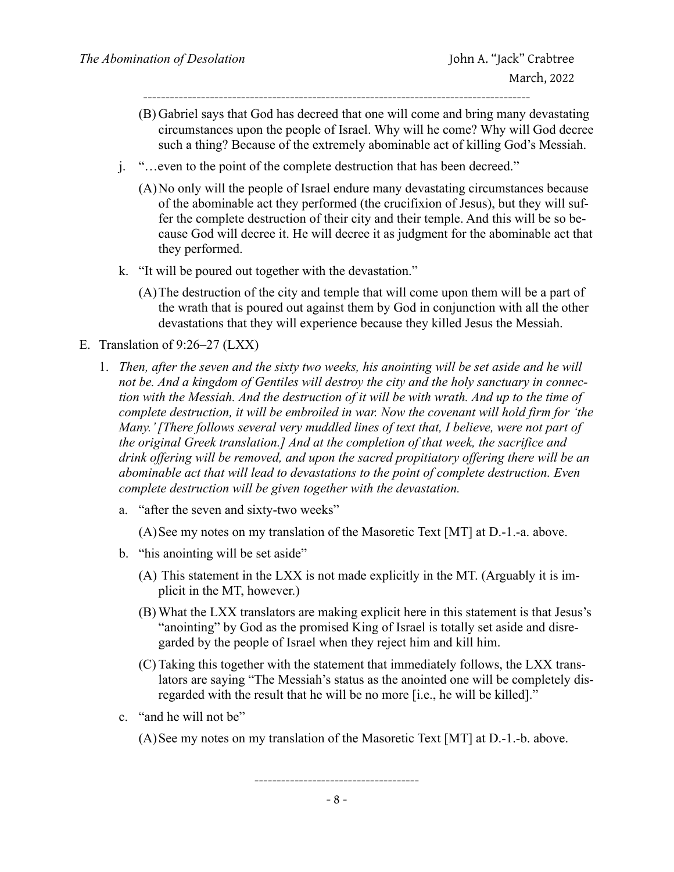- (B) Gabriel says that God has decreed that one will come and bring many devastating circumstances upon the people of Israel. Why will he come? Why will God decree such a thing? Because of the extremely abominable act of killing God's Messiah.
- j. "…even to the point of the complete destruction that has been decreed."
	- (A)No only will the people of Israel endure many devastating circumstances because of the abominable act they performed (the crucifixion of Jesus), but they will suffer the complete destruction of their city and their temple. And this will be so because God will decree it. He will decree it as judgment for the abominable act that they performed.
- k. "It will be poured out together with the devastation."
	- (A)The destruction of the city and temple that will come upon them will be a part of the wrath that is poured out against them by God in conjunction with all the other devastations that they will experience because they killed Jesus the Messiah.

#### E. Translation of 9:26–27 (LXX)

- 1. *Then, after the seven and the sixty two weeks, his anointing will be set aside and he will not be. And a kingdom of Gentiles will destroy the city and the holy sanctuary in connection with the Messiah. And the destruction of it will be with wrath. And up to the time of complete destruction, it will be embroiled in war. Now the covenant will hold firm for 'the Many.' [There follows several very muddled lines of text that, I believe, were not part of the original Greek translation.] And at the completion of that week, the sacrifice and drink offering will be removed, and upon the sacred propitiatory offering there will be an abominable act that will lead to devastations to the point of complete destruction. Even complete destruction will be given together with the devastation.*
	- a. "after the seven and sixty-two weeks"

(A)See my notes on my translation of the Masoretic Text [MT] at D.-1.-a. above.

- b. "his anointing will be set aside"
	- (A) This statement in the LXX is not made explicitly in the MT. (Arguably it is implicit in the MT, however.)
	- (B) What the LXX translators are making explicit here in this statement is that Jesus's "anointing" by God as the promised King of Israel is totally set aside and disregarded by the people of Israel when they reject him and kill him.
	- (C) Taking this together with the statement that immediately follows, the LXX translators are saying "The Messiah's status as the anointed one will be completely disregarded with the result that he will be no more [i.e., he will be killed]."
- c. "and he will not be"

(A)See my notes on my translation of the Masoretic Text [MT] at D.-1.-b. above.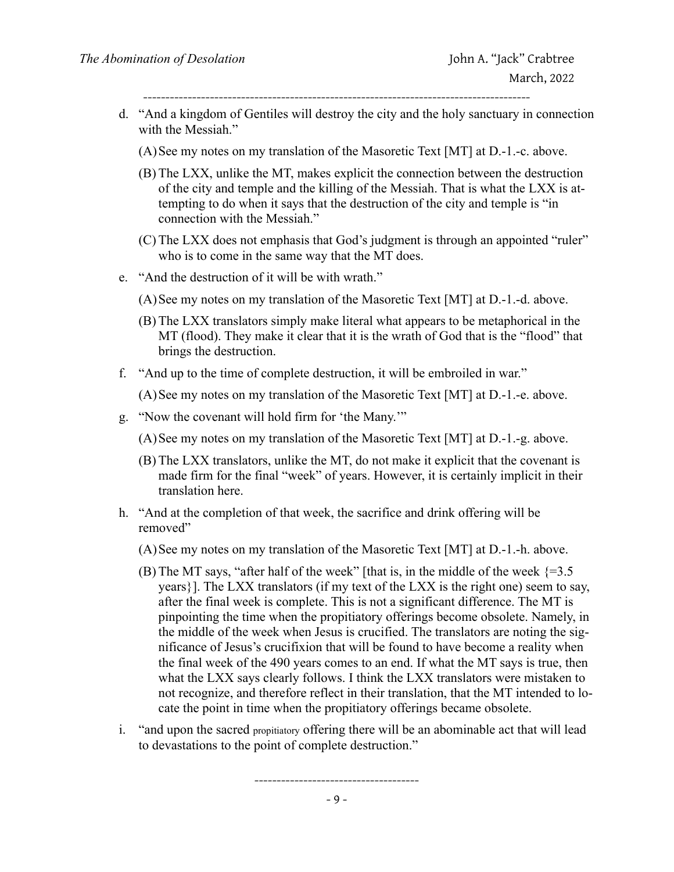- d. "And a kingdom of Gentiles will destroy the city and the holy sanctuary in connection with the Messiah."
	- (A)See my notes on my translation of the Masoretic Text [MT] at D.-1.-c. above.
	- (B) The LXX, unlike the MT, makes explicit the connection between the destruction of the city and temple and the killing of the Messiah. That is what the LXX is attempting to do when it says that the destruction of the city and temple is "in connection with the Messiah."
	- (C) The LXX does not emphasis that God's judgment is through an appointed "ruler" who is to come in the same way that the MT does.
- e. "And the destruction of it will be with wrath."
	- (A)See my notes on my translation of the Masoretic Text [MT] at D.-1.-d. above.
	- (B) The LXX translators simply make literal what appears to be metaphorical in the MT (flood). They make it clear that it is the wrath of God that is the "flood" that brings the destruction.
- f. "And up to the time of complete destruction, it will be embroiled in war."

(A)See my notes on my translation of the Masoretic Text [MT] at D.-1.-e. above.

g. "Now the covenant will hold firm for 'the Many.'"

(A)See my notes on my translation of the Masoretic Text [MT] at D.-1.-g. above.

- (B) The LXX translators, unlike the MT, do not make it explicit that the covenant is made firm for the final "week" of years. However, it is certainly implicit in their translation here.
- h. "And at the completion of that week, the sacrifice and drink offering will be removed"

(A)See my notes on my translation of the Masoretic Text [MT] at D.-1.-h. above.

- (B) The MT says, "after half of the week" [that is, in the middle of the week  $\{=3.5\}$ years}]. The LXX translators (if my text of the LXX is the right one) seem to say, after the final week is complete. This is not a significant difference. The MT is pinpointing the time when the propitiatory offerings become obsolete. Namely, in the middle of the week when Jesus is crucified. The translators are noting the significance of Jesus's crucifixion that will be found to have become a reality when the final week of the 490 years comes to an end. If what the MT says is true, then what the LXX says clearly follows. I think the LXX translators were mistaken to not recognize, and therefore reflect in their translation, that the MT intended to locate the point in time when the propitiatory offerings became obsolete.
- i. "and upon the sacred propitiatory offering there will be an abominable act that will lead to devastations to the point of complete destruction."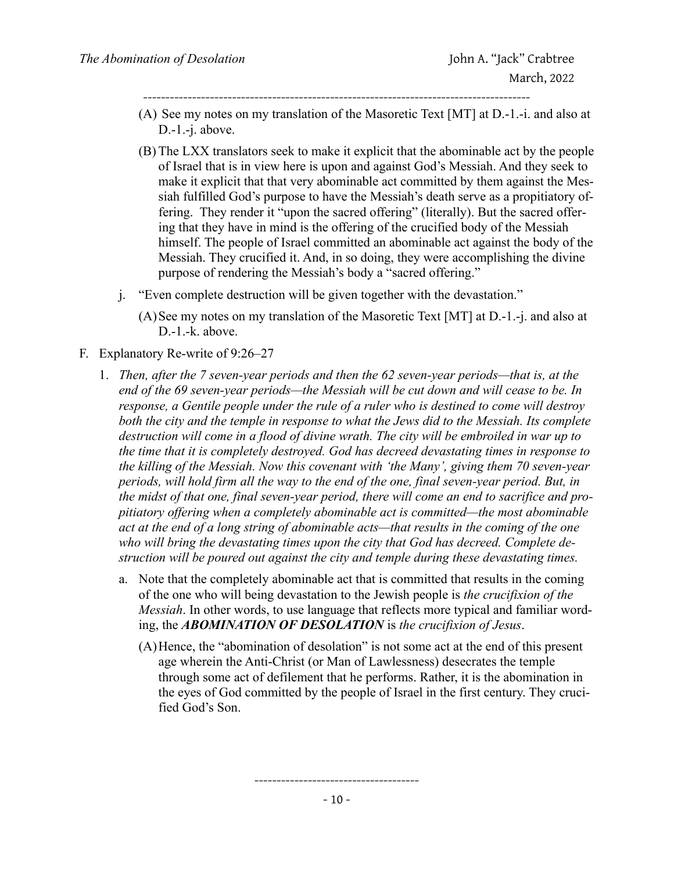- ---------------------------------------------------------------------------------------
- (A) See my notes on my translation of the Masoretic Text [MT] at D.-1.-i. and also at D.-1.-j. above.
- (B) The LXX translators seek to make it explicit that the abominable act by the people of Israel that is in view here is upon and against God's Messiah. And they seek to make it explicit that that very abominable act committed by them against the Messiah fulfilled God's purpose to have the Messiah's death serve as a propitiatory offering. They render it "upon the sacred offering" (literally). But the sacred offering that they have in mind is the offering of the crucified body of the Messiah himself. The people of Israel committed an abominable act against the body of the Messiah. They crucified it. And, in so doing, they were accomplishing the divine purpose of rendering the Messiah's body a "sacred offering."
- j. "Even complete destruction will be given together with the devastation."
	- (A)See my notes on my translation of the Masoretic Text [MT] at D.-1.-j. and also at D.-1.-k. above.
- F. Explanatory Re-write of 9:26–27
	- 1. *Then, after the 7 seven-year periods and then the 62 seven-year periods—that is, at the end of the 69 seven-year periods—the Messiah will be cut down and will cease to be. In response, a Gentile people under the rule of a ruler who is destined to come will destroy both the city and the temple in response to what the Jews did to the Messiah. Its complete*  destruction will come in a flood of divine wrath. The city will be embroiled in war up to *the time that it is completely destroyed. God has decreed devastating times in response to the killing of the Messiah. Now this covenant with 'the Many', giving them 70 seven-year periods, will hold firm all the way to the end of the one, final seven-year period. But, in the midst of that one, final seven-year period, there will come an end to sacrifice and propitiatory offering when a completely abominable act is committed—the most abominable act at the end of a long string of abominable acts—that results in the coming of the one who will bring the devastating times upon the city that God has decreed. Complete destruction will be poured out against the city and temple during these devastating times.*
		- a. Note that the completely abominable act that is committed that results in the coming of the one who will being devastation to the Jewish people is *the crucifixion of the Messiah*. In other words, to use language that reflects more typical and familiar wording, the *ABOMINATION OF DESOLATION* is *the crucifixion of Jesus*.
			- (A)Hence, the "abomination of desolation" is not some act at the end of this present age wherein the Anti-Christ (or Man of Lawlessness) desecrates the temple through some act of defilement that he performs. Rather, it is the abomination in the eyes of God committed by the people of Israel in the first century. They crucified God's Son.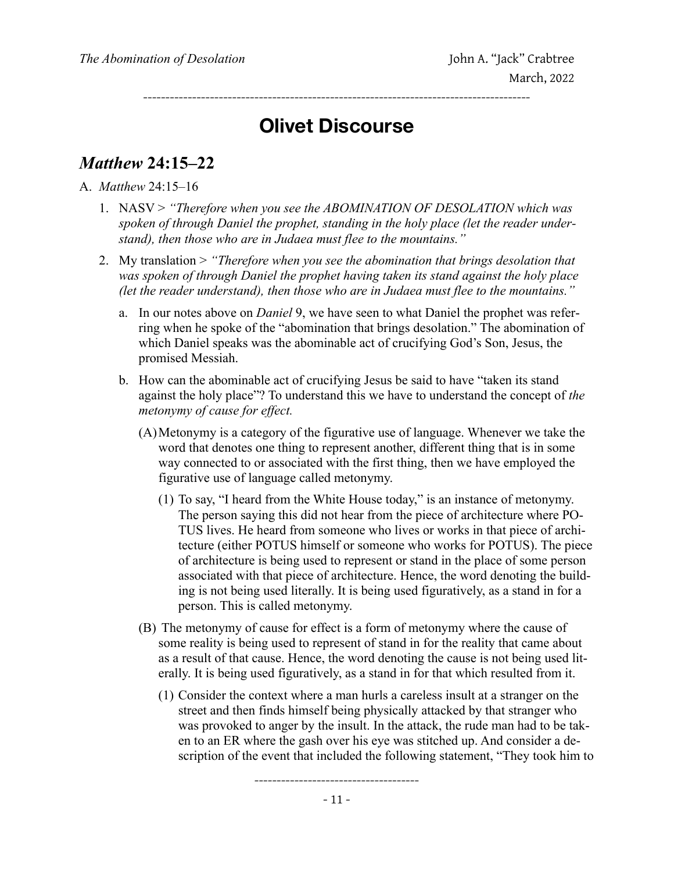### **Olivet Discourse**

---------------------------------------------------------------------------------------

#### *Matthew* **24:15–22**

A. *Matthew* 24:15–16

- 1. NASV > *"Therefore when you see the ABOMINATION OF DESOLATION which was spoken of through Daniel the prophet, standing in the holy place (let the reader understand), then those who are in Judaea must flee to the mountains."*
- 2. My translation > *"Therefore when you see the abomination that brings desolation that was spoken of through Daniel the prophet having taken its stand against the holy place (let the reader understand), then those who are in Judaea must flee to the mountains."*
	- a. In our notes above on *Daniel* 9, we have seen to what Daniel the prophet was referring when he spoke of the "abomination that brings desolation." The abomination of which Daniel speaks was the abominable act of crucifying God's Son, Jesus, the promised Messiah.
	- b. How can the abominable act of crucifying Jesus be said to have "taken its stand against the holy place"? To understand this we have to understand the concept of *the metonymy of cause for effect.*
		- (A)Metonymy is a category of the figurative use of language. Whenever we take the word that denotes one thing to represent another, different thing that is in some way connected to or associated with the first thing, then we have employed the figurative use of language called metonymy.
			- (1) To say, "I heard from the White House today," is an instance of metonymy. The person saying this did not hear from the piece of architecture where PO-TUS lives. He heard from someone who lives or works in that piece of architecture (either POTUS himself or someone who works for POTUS). The piece of architecture is being used to represent or stand in the place of some person associated with that piece of architecture. Hence, the word denoting the building is not being used literally. It is being used figuratively, as a stand in for a person. This is called metonymy.
		- (B) The metonymy of cause for effect is a form of metonymy where the cause of some reality is being used to represent of stand in for the reality that came about as a result of that cause. Hence, the word denoting the cause is not being used literally. It is being used figuratively, as a stand in for that which resulted from it.
			- (1) Consider the context where a man hurls a careless insult at a stranger on the street and then finds himself being physically attacked by that stranger who was provoked to anger by the insult. In the attack, the rude man had to be taken to an ER where the gash over his eye was stitched up. And consider a description of the event that included the following statement, "They took him to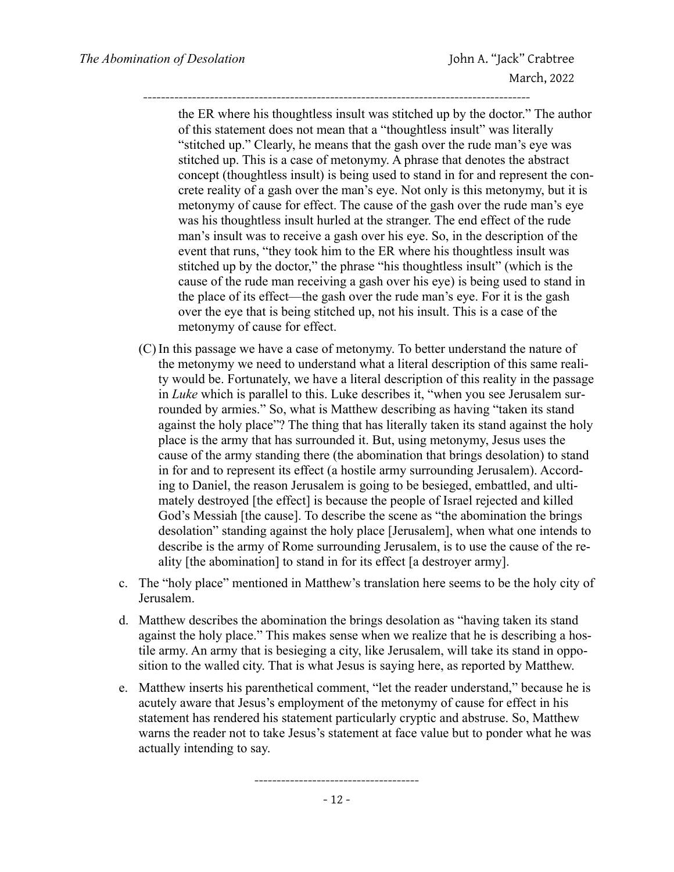the ER where his thoughtless insult was stitched up by the doctor." The author of this statement does not mean that a "thoughtless insult" was literally "stitched up." Clearly, he means that the gash over the rude man's eye was stitched up. This is a case of metonymy. A phrase that denotes the abstract concept (thoughtless insult) is being used to stand in for and represent the concrete reality of a gash over the man's eye. Not only is this metonymy, but it is metonymy of cause for effect. The cause of the gash over the rude man's eye was his thoughtless insult hurled at the stranger. The end effect of the rude man's insult was to receive a gash over his eye. So, in the description of the event that runs, "they took him to the ER where his thoughtless insult was stitched up by the doctor," the phrase "his thoughtless insult" (which is the cause of the rude man receiving a gash over his eye) is being used to stand in the place of its effect—the gash over the rude man's eye. For it is the gash over the eye that is being stitched up, not his insult. This is a case of the metonymy of cause for effect.

---------------------------------------------------------------------------------------

- (C) In this passage we have a case of metonymy. To better understand the nature of the metonymy we need to understand what a literal description of this same reality would be. Fortunately, we have a literal description of this reality in the passage in *Luke* which is parallel to this. Luke describes it, "when you see Jerusalem surrounded by armies." So, what is Matthew describing as having "taken its stand against the holy place"? The thing that has literally taken its stand against the holy place is the army that has surrounded it. But, using metonymy, Jesus uses the cause of the army standing there (the abomination that brings desolation) to stand in for and to represent its effect (a hostile army surrounding Jerusalem). According to Daniel, the reason Jerusalem is going to be besieged, embattled, and ultimately destroyed [the effect] is because the people of Israel rejected and killed God's Messiah [the cause]. To describe the scene as "the abomination the brings desolation" standing against the holy place [Jerusalem], when what one intends to describe is the army of Rome surrounding Jerusalem, is to use the cause of the reality [the abomination] to stand in for its effect [a destroyer army].
- c. The "holy place" mentioned in Matthew's translation here seems to be the holy city of Jerusalem.
- d. Matthew describes the abomination the brings desolation as "having taken its stand against the holy place." This makes sense when we realize that he is describing a hostile army. An army that is besieging a city, like Jerusalem, will take its stand in opposition to the walled city. That is what Jesus is saying here, as reported by Matthew.
- e. Matthew inserts his parenthetical comment, "let the reader understand," because he is acutely aware that Jesus's employment of the metonymy of cause for effect in his statement has rendered his statement particularly cryptic and abstruse. So, Matthew warns the reader not to take Jesus's statement at face value but to ponder what he was actually intending to say.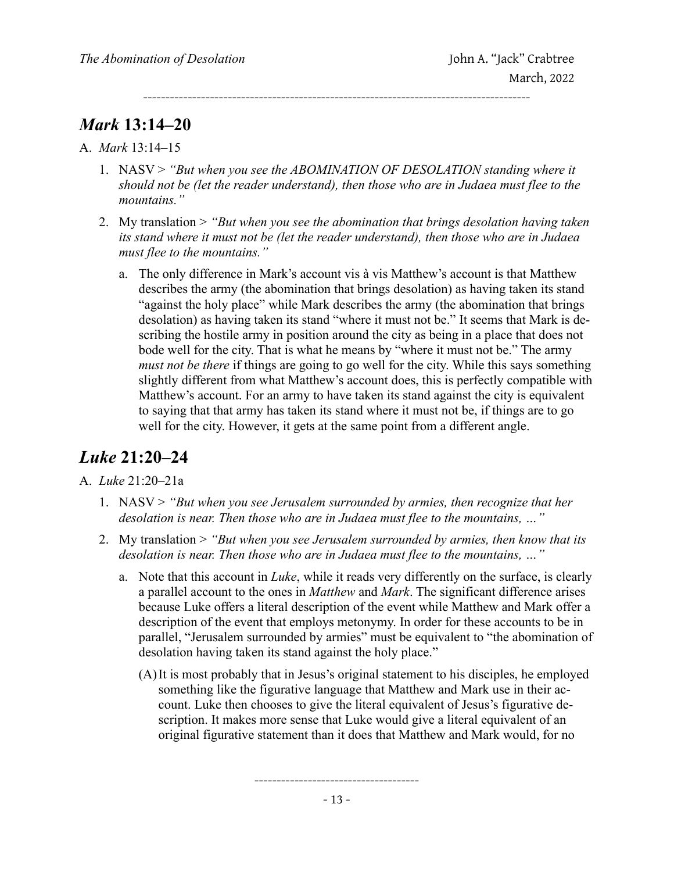*Mark* **13:14–20**

A. *Mark* 13:14–15

1. NASV > *"But when you see the ABOMINATION OF DESOLATION standing where it should not be (let the reader understand), then those who are in Judaea must flee to the mountains."*

---------------------------------------------------------------------------------------

- 2. My translation > *"But when you see the abomination that brings desolation having taken its stand where it must not be (let the reader understand), then those who are in Judaea must flee to the mountains."*
	- a. The only difference in Mark's account vis à vis Matthew's account is that Matthew describes the army (the abomination that brings desolation) as having taken its stand "against the holy place" while Mark describes the army (the abomination that brings desolation) as having taken its stand "where it must not be." It seems that Mark is describing the hostile army in position around the city as being in a place that does not bode well for the city. That is what he means by "where it must not be." The army *must not be there* if things are going to go well for the city. While this says something slightly different from what Matthew's account does, this is perfectly compatible with Matthew's account. For an army to have taken its stand against the city is equivalent to saying that that army has taken its stand where it must not be, if things are to go well for the city. However, it gets at the same point from a different angle.

### *Luke* **21:20–24**

#### A. *Luke* 21:20–21a

- 1. NASV > *"But when you see Jerusalem surrounded by armies, then recognize that her desolation is near. Then those who are in Judaea must flee to the mountains, …"*
- 2. My translation > *"But when you see Jerusalem surrounded by armies, then know that its desolation is near. Then those who are in Judaea must flee to the mountains, …"*
	- a. Note that this account in *Luke*, while it reads very differently on the surface, is clearly a parallel account to the ones in *Matthew* and *Mark*. The significant difference arises because Luke offers a literal description of the event while Matthew and Mark offer a description of the event that employs metonymy. In order for these accounts to be in parallel, "Jerusalem surrounded by armies" must be equivalent to "the abomination of desolation having taken its stand against the holy place."
		- (A)It is most probably that in Jesus's original statement to his disciples, he employed something like the figurative language that Matthew and Mark use in their account. Luke then chooses to give the literal equivalent of Jesus's figurative description. It makes more sense that Luke would give a literal equivalent of an original figurative statement than it does that Matthew and Mark would, for no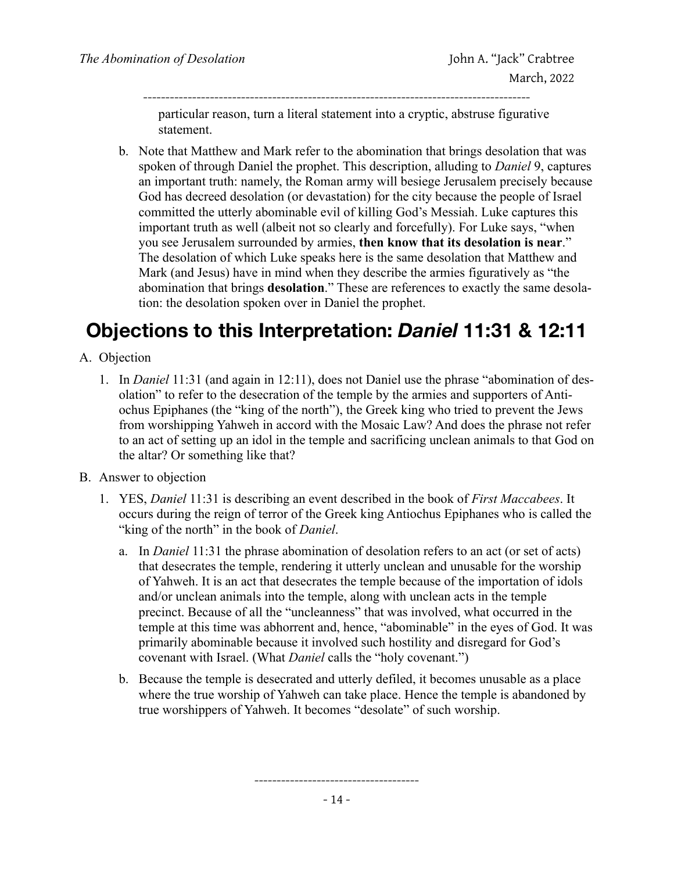particular reason, turn a literal statement into a cryptic, abstruse figurative statement.

---------------------------------------------------------------------------------------

b. Note that Matthew and Mark refer to the abomination that brings desolation that was spoken of through Daniel the prophet. This description, alluding to *Daniel* 9, captures an important truth: namely, the Roman army will besiege Jerusalem precisely because God has decreed desolation (or devastation) for the city because the people of Israel committed the utterly abominable evil of killing God's Messiah. Luke captures this important truth as well (albeit not so clearly and forcefully). For Luke says, "when you see Jerusalem surrounded by armies, **then know that its desolation is near**." The desolation of which Luke speaks here is the same desolation that Matthew and Mark (and Jesus) have in mind when they describe the armies figuratively as "the abomination that brings **desolation**." These are references to exactly the same desolation: the desolation spoken over in Daniel the prophet.

# **Objections to this Interpretation:** *Daniel* **11:31 & 12:11**

- A. Objection
	- 1. In *Daniel* 11:31 (and again in 12:11), does not Daniel use the phrase "abomination of desolation" to refer to the desecration of the temple by the armies and supporters of Antiochus Epiphanes (the "king of the north"), the Greek king who tried to prevent the Jews from worshipping Yahweh in accord with the Mosaic Law? And does the phrase not refer to an act of setting up an idol in the temple and sacrificing unclean animals to that God on the altar? Or something like that?
- B. Answer to objection
	- 1. YES, *Daniel* 11:31 is describing an event described in the book of *First Maccabees*. It occurs during the reign of terror of the Greek king Antiochus Epiphanes who is called the "king of the north" in the book of *Daniel*.
		- a. In *Daniel* 11:31 the phrase abomination of desolation refers to an act (or set of acts) that desecrates the temple, rendering it utterly unclean and unusable for the worship of Yahweh. It is an act that desecrates the temple because of the importation of idols and/or unclean animals into the temple, along with unclean acts in the temple precinct. Because of all the "uncleanness" that was involved, what occurred in the temple at this time was abhorrent and, hence, "abominable" in the eyes of God. It was primarily abominable because it involved such hostility and disregard for God's covenant with Israel. (What *Daniel* calls the "holy covenant.")
		- b. Because the temple is desecrated and utterly defiled, it becomes unusable as a place where the true worship of Yahweh can take place. Hence the temple is abandoned by true worshippers of Yahweh. It becomes "desolate" of such worship.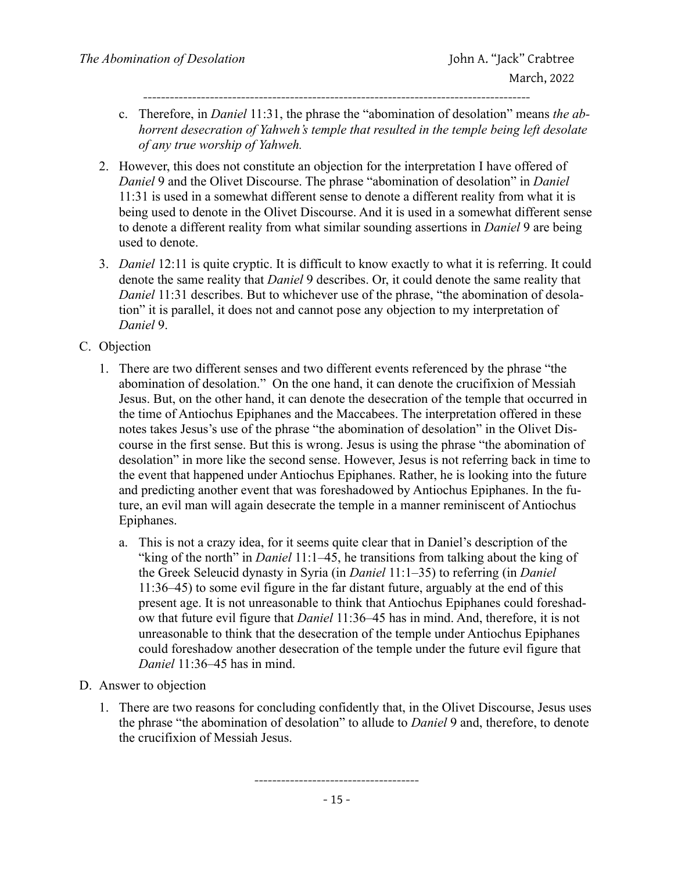- c. Therefore, in *Daniel* 11:31, the phrase the "abomination of desolation" means *the abhorrent desecration of Yahweh's temple that resulted in the temple being left desolate of any true worship of Yahweh.*
- 2. However, this does not constitute an objection for the interpretation I have offered of *Daniel* 9 and the Olivet Discourse. The phrase "abomination of desolation" in *Daniel*  11:31 is used in a somewhat different sense to denote a different reality from what it is being used to denote in the Olivet Discourse. And it is used in a somewhat different sense to denote a different reality from what similar sounding assertions in *Daniel* 9 are being used to denote.
- 3. *Daniel* 12:11 is quite cryptic. It is difficult to know exactly to what it is referring. It could denote the same reality that *Daniel* 9 describes. Or, it could denote the same reality that *Daniel* 11:31 describes. But to whichever use of the phrase, "the abomination of desolation" it is parallel, it does not and cannot pose any objection to my interpretation of *Daniel* 9.
- C. Objection
	- 1. There are two different senses and two different events referenced by the phrase "the abomination of desolation." On the one hand, it can denote the crucifixion of Messiah Jesus. But, on the other hand, it can denote the desecration of the temple that occurred in the time of Antiochus Epiphanes and the Maccabees. The interpretation offered in these notes takes Jesus's use of the phrase "the abomination of desolation" in the Olivet Discourse in the first sense. But this is wrong. Jesus is using the phrase "the abomination of desolation" in more like the second sense. However, Jesus is not referring back in time to the event that happened under Antiochus Epiphanes. Rather, he is looking into the future and predicting another event that was foreshadowed by Antiochus Epiphanes. In the future, an evil man will again desecrate the temple in a manner reminiscent of Antiochus Epiphanes.
		- a. This is not a crazy idea, for it seems quite clear that in Daniel's description of the "king of the north" in *Daniel* 11:1–45, he transitions from talking about the king of the Greek Seleucid dynasty in Syria (in *Daniel* 11:1–35) to referring (in *Daniel*  11:36–45) to some evil figure in the far distant future, arguably at the end of this present age. It is not unreasonable to think that Antiochus Epiphanes could foreshadow that future evil figure that *Daniel* 11:36–45 has in mind. And, therefore, it is not unreasonable to think that the desecration of the temple under Antiochus Epiphanes could foreshadow another desecration of the temple under the future evil figure that *Daniel* 11:36–45 has in mind.
- D. Answer to objection
	- 1. There are two reasons for concluding confidently that, in the Olivet Discourse, Jesus uses the phrase "the abomination of desolation" to allude to *Daniel* 9 and, therefore, to denote the crucifixion of Messiah Jesus.